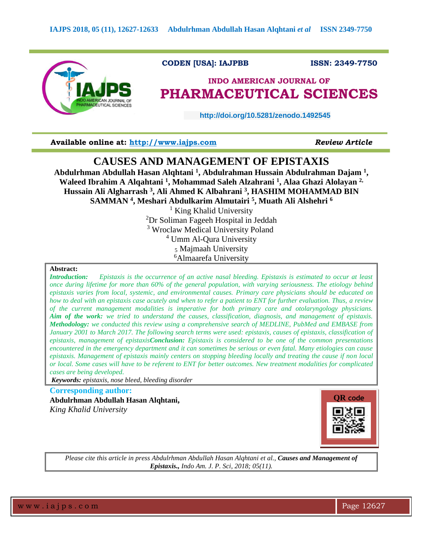

 **CODEN [USA]: IAJPBB ISSN: 2349-7750**

# **INDO AMERICAN JOURNAL OF PHARMACEUTICAL SCIENCES**

 **http://doi.org/10.5281/zenodo.1492545** 

**Available online at: [http://www.iajps.com](http://www.iajps.com/)** *Review Article*

## **CAUSES AND MANAGEMENT OF EPISTAXIS**

**Abdulrhman Abdullah Hasan Alqhtani <sup>1</sup> , Abdulrahman Hussain Abdulrahman Dajam <sup>1</sup> , Waleed Ibrahim A Alqahtani <sup>1</sup> , Mohammad Saleh Alzahrani <sup>1</sup> , Alaa Ghazi Alolayan 2, Hussain Ali Algharrash <sup>3</sup> , Ali Ahmed K Albahrani <sup>3</sup> , HASHIM MOHAMMAD BIN SAMMAN <sup>4</sup> , Meshari Abdulkarim Almutairi <sup>5</sup> , Muath Ali Alshehri <sup>6</sup>**

> $<sup>1</sup>$  King Khalid University</sup> Dr Soliman Fageeh Hospital in Jeddah <sup>3</sup> Wroclaw Medical University Poland Umm Al-Qura University Majmaah University Almaarefa University

## **Abstract:**

*Introduction: Epistaxis is the occurrence of an active nasal bleeding. Epistaxis is estimated to occur at least once during lifetime for more than 60% of the general population, with varying seriousness. The etiology behind epistaxis varies from local, systemic, and environmental causes. Primary care physicians should be educated on how to deal with an epistaxis case acutely and when to refer a patient to ENT for further evaluation. Thus, a review of the current management modalities is imperative for both primary care and otolaryngology physicians. Aim of the work: we tried to understand the causes, classification, diagnosis, and management of epistaxis. Methodology: we conducted this review using a comprehensive search of MEDLINE, PubMed and EMBASE from January 2001 to March 2017. The following search terms were used: epistaxis, causes of epistaxis, classification of epistaxis, management of epistaxisConclusion: Epistaxis is considered to be one of the common presentations encountered in the emergency department and it can sometimes be serious or even fatal. Many etiologies can cause epistaxis. Management of epistaxis mainly centers on stopping bleeding locally and treating the cause if non local or local. Some cases will have to be referent to ENT for better outcomes. New treatment modalities for complicated cases are being developed.*

*Keywords: epistaxis, nose bleed, bleeding disorder*

**Corresponding author: Abdulrhman Abdullah Hasan Alqhtani,** *King Khalid University*



*Please cite this article in press Abdulrhman Abdullah Hasan Alqhtani et al., Causes and Management of Epistaxis., Indo Am. J. P. Sci, 2018; 05(11).*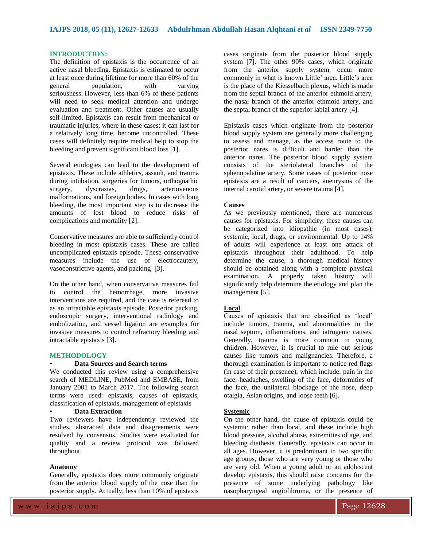#### **INTRODUCTION:**

The definition of epistaxis is the occurrence of an active nasal bleeding. Epistaxis is estimated to occur at least once during lifetime for more than 60% of the general population, with varying seriousness. However, less than 6% of these patients will need to seek medical attention and undergo evaluation and treatment. Other causes are usually self-limited. Epistaxis can result from mechanical or traumatic injuries, where in these cases; it can last for a relatively long time, become uncontrolled. These cases will definitely require medical help to stop the bleeding and prevent significant blood loss [1].

Several etiologies can lead to the development of epistaxis. These include athletics, assault, and trauma during intubation, surgeries for tumors, orthognathic surgery, dyscrasias, drugs, arteriovenous malformations, and foreign bodies. In cases with long bleeding, the most important step is to decrease the amounts of lost blood to reduce risks of complications and mortality [2].

Conservative measures are able to sufficiently control bleeding in most epistaxis cases. These are called uncomplicated epistaxis episode. These conservative measures include the use of electrocautery, vasoconstrictive agents, and packing [3].

On the other hand, when conservative measures fail to control the hemorrhage, more invasive interventions are required, and the case is refereed to as an intractable epistaxis episode. Posterior packing, endoscopic surgery, interventional radiology and embolization, and vessel ligation are examples for invasive measures to control refractory bleeding and intractable epistaxis [3].

#### **METHODOLOGY**

#### • **Data Sources and Search terms**

We conducted this review using a comprehensive search of MEDLINE, PubMed and EMBASE, from January 2001 to March 2017. The following search terms were used: epistaxis, causes of epistaxis, classification of epistaxis, management of epistaxis

## • **Data Extraction**

Two reviewers have independently reviewed the studies, abstracted data and disagreements were resolved by consensus. Studies were evaluated for quality and a review protocol was followed throughout.

#### **Anatomy**

Generally, epistaxis does more commonly originate from the anterior blood supply of the nose than the posterior supply. Actually, less than 10% of epistaxis

cases originate from the posterior blood supply system [7]. The other 90% cases, which originate from the anterior supply system, occur more commonly in what is known Little' area. Little's area is the place of the Kiesselbach plexus, which is made from the septal branch of the anterior ethmoid artery, the nasal branch of the anterior ethmoid artery, and the septal branch of the superior labial artery [4].

Epistaxis cases which originate from the posterior blood supply system are generally more challenging to assess and manage, as the access route to the posterior nares is difficult and harder than the anterior nares. The posterior blood supply system consists of the steriolateral branches of the sphenopalatine artery. Some cases of posterior nose epistaxis are a result of cancers, aneurysms of the internal carotid artery, or severe trauma [4].

## **Causes**

As we previously mentioned, there are numerous causes for epistaxis. For simplicity, these causes can be categorized into idiopathic (in most cases), systemic, local, drugs, or environmental. Up to 14% of adults will experience at least one attack of epistaxis throughout their adulthood. To help determine the cause, a thorough medical history should be obtained along with a complete physical examination. A properly taken history will significantly help determine the etiology and plan the management [5].

## **Local**

Causes of epistaxis that are classified as 'local' include tumors, trauma, and abnormalities in the nasal septum, inflammations, and iatrogenic causes. Generally, trauma is more common in young children. However, it is crucial to rule out serious causes like tumors and malignancies. Therefore, a thorough examination is important to notice red flags (in case of their presence), which include: pain in the face, headaches, swelling of the face, deformities of the face, the unilateral blockage of the nose, deep otalgia, Asian origins, and loose teeth [6].

## **Systemic**

On the other hand, the cause of epistaxis could be systemic rather than local, and these include high blood pressure, alcohol abuse, extremities of age, and bleeding diathesis. Generally, epistaxis can occur in all ages. However, it is predominant in two specific age groups, those who are very young or those who are very old. When a young adult or an adolescent develop epistaxis, this should raise concerns for the presence of some underlying pathology like nasopharyngeal angiofibroma, or the presence of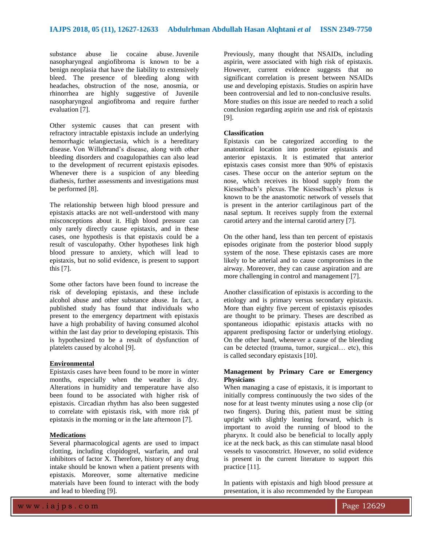substance abuse lie cocaine abuse. Juvenile nasopharyngeal angiofibroma is known to be a benign neoplasia that have the liability to extensively bleed. The presence of bleeding along with headaches, obstruction of the nose, anosmia, or rhinorrhea are highly suggestive of Juvenile nasopharyngeal angiofibroma and require further evaluation [7].

Other systemic causes that can present with refractory intractable epistaxis include an underlying hemorrhagic telangiectasia, which is a hereditary disease. Von Willebrand's disease, along with other bleeding disorders and coagulopathies can also lead to the development of recurrent epistaxis episodes. Whenever there is a suspicion of any bleeding diathesis, further assessments and investigations must be performed [8].

The relationship between high blood pressure and epistaxis attacks are not well-understood with many misconceptions about it. High blood pressure can only rarely directly cause epistaxis, and in these cases, one hypothesis is that epistaxis could be a result of vasculopathy. Other hypotheses link high blood pressure to anxiety, which will lead to epistaxis, but no solid evidence, is present to support this [7].

Some other factors have been found to increase the risk of developing epistaxis, and these include alcohol abuse and other substance abuse. In fact, a published study has found that individuals who present to the emergency department with epistaxis have a high probability of having consumed alcohol within the last day prior to developing epistaxis. This is hypothesized to be a result of dysfunction of platelets caused by alcohol [9].

#### **Environmental**

Epistaxis cases have been found to be more in winter months, especially when the weather is dry. Alterations in humidity and temperature have also been found to be associated with higher risk of epistaxis. Circadian rhythm has also been suggested to correlate with epistaxis risk, with more risk pf epistaxis in the morning or in the late afternoon [7].

### **Medications**

Several pharmacological agents are used to impact clotting, including clopidogrel, warfarin, and oral inhibitors of factor X. Therefore, history of any drug intake should be known when a patient presents with epistaxis. Moreover, some alternative medicine materials have been found to interact with the body and lead to bleeding [9].

Previously, many thought that NSAIDs, including aspirin, were associated with high risk of epistaxis. However, current evidence suggests that no significant correlation is present between NSAIDs use and developing epistaxis. Studies on aspirin have been controversial and led to non-conclusive results. More studies on this issue are needed to reach a solid conclusion regarding aspirin use and risk of epistaxis [9].

### **Classification**

Epistaxis can be categorized according to the anatomical location into posterior epistaxis and anterior epistaxis. It is estimated that anterior epistaxis cases consist more than 90% of epistaxis cases. These occur on the anterior septum on the nose, which receives its blood supply from the Kiesselbach's plexus. The Kiesselbach's plexus is known to be the anastomotic network of vessels that is present in the anterior cartilaginous part of the nasal septum. It receives supply from the external carotid artery and the internal carotid artery [7].

On the other hand, less than ten percent of epistaxis episodes originate from the posterior blood supply system of the nose. These epistaxis cases are more likely to be arterial and to cause compromises in the airway. Moreover, they can cause aspiration and are more challenging in control and management [7].

Another classification of epistaxis is according to the etiology and is primary versus secondary epistaxis. More than eighty five percent of epistaxis episodes are thought to be primary. Theses are described as spontaneous idiopathic epistaxis attacks with no apparent predisposing factor or underlying etiology. On the other hand, whenever a cause of the bleeding can be detected (trauma, tumor, surgical… etc), this is called secondary epistaxis [10].

## **Management by Primary Care or Emergency Physicians**

When managing a case of epistaxis, it is important to initially compress continuously the two sides of the nose for at least twenty minutes using a nose clip (or two fingers). During this, patient must be sitting upright with slightly leaning forward, which is important to avoid the running of blood to the pharynx. It could also be beneficial to locally apply ice at the neck back, as this can stimulate nasal blood vessels to vasoconstrict. However, no solid evidence is present in the current literature to support this practice [11].

In patients with epistaxis and high blood pressure at presentation, it is also recommended by the European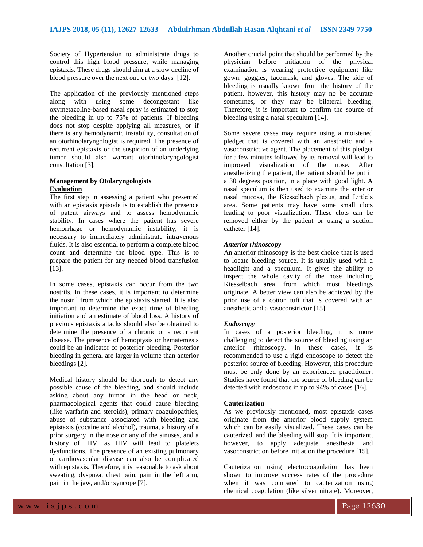Society of Hypertension to administrate drugs to control this high blood pressure, while managing epistaxis. These drugs should aim at a slow decline of blood pressure over the next one or two days [12].

The application of the previously mentioned steps along with using some decongestant like oxymetazoline-based nasal spray is estimated to stop the bleeding in up to 75% of patients. If bleeding does not stop despite applying all measures, or if there is any hemodynamic instability, consultation of an otorhinolaryngologist is required. The presence of recurrent epistaxis or the suspicion of an underlying tumor should also warrant otorhinolaryngologist consultation [3].

## **Management by Otolaryngologists Evaluation**

The first step in assessing a patient who presented with an epistaxis episode is to establish the presence of patent airways and to assess hemodynamic stability. In cases where the patient has severe hemorrhage or hemodynamic instability, it is necessary to immediately administrate intravenous fluids. It is also essential to perform a complete blood count and determine the blood type. This is to prepare the patient for any needed blood transfusion [13].

In some cases, epistaxis can occur from the two nostrils. In these cases, it is important to determine the nostril from which the epistaxis started. It is also important to determine the exact time of bleeding initiation and an estimate of blood loss. A history of previous epistaxis attacks should also be obtained to determine the presence of a chronic or a recurrent disease. The presence of hemoptysis or hematemesis could be an indicator of posterior bleeding. Posterior bleeding in general are larger in volume than anterior bleedings [2].

Medical history should be thorough to detect any possible cause of the bleeding, and should include asking about any tumor in the head or neck, pharmacological agents that could cause bleeding (like warfarin and steroids), primary coagulopathies, abuse of substance associated with bleeding and epistaxis (cocaine and alcohol), trauma, a history of a prior surgery in the nose or any of the sinuses, and a history of HIV, as HIV will lead to platelets dysfunctions. The presence of an existing pulmonary or cardiovascular disease can also be complicated with epistaxis. Therefore, it is reasonable to ask about sweating, dyspnea, chest pain, pain in the left arm, pain in the jaw, and/or syncope [7].

Another crucial point that should be performed by the physician before initiation of the physical examination is wearing protective equipment like gown, goggles, facemask, and gloves. The side of bleeding is usually known from the history of the patient. however, this history may no be accurate sometimes, or they may be bilateral bleeding. Therefore, it is important to confirm the source of bleeding using a nasal speculum [14].

Some severe cases may require using a moistened pledget that is covered with an anesthetic and a vasoconstrictive agent. The placement of this pledget for a few minutes followed by its removal will lead to improved visualization of the nose. After anesthetizing the patient, the patient should be put in a 30 degrees position, in a place with good light. A nasal speculum is then used to examine the anterior nasal mucosa, the Kiesselbach plexus, and Little's area. Some patients may have some small clots leading to poor visualization. These clots can be removed either by the patient or using a suction catheter [14].

## *Anterior rhinoscopy*

An anterior rhinoscopy is the best choice that is used to locate bleeding source. It is usually used with a headlight and a speculum. It gives the ability to inspect the whole cavity of the nose including Kiesselbach area, from which most bleedings originate. A better view can also be achieved by the prior use of a cotton tuft that is covered with an anesthetic and a vasoconstrictor [15].

## *Endoscopy*

In cases of a posterior bleeding, it is more challenging to detect the source of bleeding using an anterior rhinoscopy. In these cases, it is recommended to use a rigid endoscope to detect the posterior source of bleeding. However, this procedure must be only done by an experienced practitioner. Studies have found that the source of bleeding can be detected with endoscope in up to 94% of cases [16].

### **Cauterization**

As we previously mentioned, most epistaxis cases originate from the anterior blood supply system which can be easily visualized. These cases can be cauterized, and the bleeding will stop. It is important, however, to apply adequate anesthesia and vasoconstriction before initiation the procedure [15].

Cauterization using electrocoagulation has been shown to improve success rates of the procedure when it was compared to cauterization using chemical coagulation (like silver nitrate). Moreover,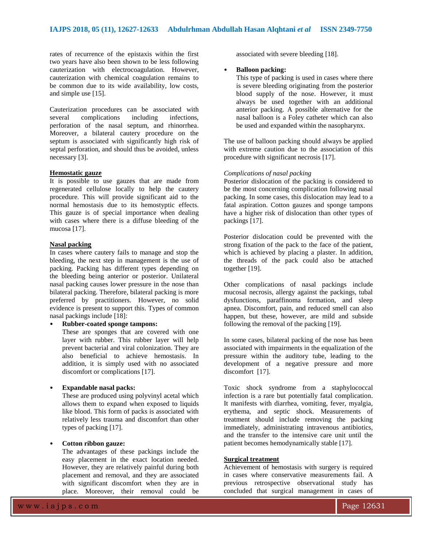rates of recurrence of the epistaxis within the first two years have also been shown to be less following cauterization with electrocoagulation. However, cauterization with chemical coagulation remains to be common due to its wide availability, low costs, and simple use [15].

Cauterization procedures can be associated with several complications including infections, perforation of the nasal septum, and rhinorrhea. Moreover, a bilateral cautery procedure on the septum is associated with significantly high risk of septal perforation, and should thus be avoided, unless necessary [3].

#### **Hemostatic gauze**

It is possible to use gauzes that are made from regenerated cellulose locally to help the cautery procedure. This will provide significant aid to the normal hemostasis due to its hemostyptic effects. This gauze is of special importance when dealing with cases where there is a diffuse bleeding of the mucosa [17].

## **Nasal packing**

In cases where cautery fails to manage and stop the bleeding, the next step in management is the use of packing. Packing has different types depending on the bleeding being anterior or posterior. Unilateral nasal packing causes lower pressure in the nose than bilateral packing. Therefore, bilateral packing is more preferred by practitioners. However, no solid evidence is present to support this. Types of common nasal packings include [18]:

#### • **Rubber-coated sponge tampons:**

These are sponges that are covered with one layer with rubber. This rubber layer will help prevent bacterial and viral colonization. They are also beneficial to achieve hemostasis. In addition, it is simply used with no associated discomfort or complications [17].

## • **Expandable nasal packs:**

These are produced using polyvinyl acetal which allows them to expand when exposed to liquids like blood. This form of packs is associated with relatively less trauma and discomfort than other types of packing [17].

## • **Cotton ribbon gauze:**

The advantages of these packings include the easy placement in the exact location needed. However, they are relatively painful during both placement and removal, and they are associated with significant discomfort when they are in place. Moreover, their removal could be

associated with severe bleeding [18].

#### • **Balloon packing:**

This type of packing is used in cases where there is severe bleeding originating from the posterior blood supply of the nose. However, it must always be used together with an additional anterior packing. A possible alternative for the nasal balloon is a Foley catheter which can also be used and expanded within the nasopharynx.

The use of balloon packing should always be applied with extreme caution due to the association of this procedure with significant necrosis [17].

#### *Complications of nasal packing*

Posterior dislocation of the packing is considered to be the most concerning complication following nasal packing. In some cases, this dislocation may lead to a fatal aspiration. Cotton gauzes and sponge tampons have a higher risk of dislocation than other types of packings [17].

Posterior dislocation could be prevented with the strong fixation of the pack to the face of the patient, which is achieved by placing a plaster. In addition, the threads of the pack could also be attached together [19].

Other complications of nasal packings include mucosal necrosis, allergy against the packings, tubal dysfunctions, paraffinoma formation, and sleep apnea. Discomfort, pain, and reduced smell can also happen, but these, however, are mild and subside following the removal of the packing [19].

In some cases, bilateral packing of the nose has been associated with impairments in the equalization of the pressure within the auditory tube, leading to the development of a negative pressure and more discomfort [17].

Toxic shock syndrome from a staphylococcal infection is a rare but potentially fatal complication. It manifests with diarrhea, vomiting, fever, myalgia, erythema, and septic shock. Measurements of treatment should include removing the packing immediately, administrating intravenous antibiotics, and the transfer to the intensive care unit until the patient becomes hemodynamically stable [17].

#### **Surgical treatment**

Achievement of hemostasis with surgery is required in cases where conservative measurements fail. A previous retrospective observational study has concluded that surgical management in cases of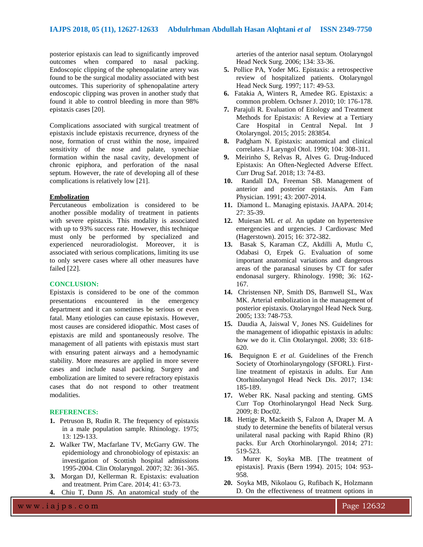posterior epistaxis can lead to significantly improved outcomes when compared to nasal packing. Endoscopic clipping of the sphenopalatine artery was found to be the surgical modality associated with best outcomes. This superiority of sphenopalatine artery endoscopic clipping was proven in another study that found it able to control bleeding in more than 98% epistaxis cases [20].

Complications associated with surgical treatment of epistaxis include epistaxis recurrence, dryness of the nose, formation of crust within the nose, impaired sensitivity of the nose and palate, synechiae formation within the nasal cavity, development of chronic epiphora, and perforation of the nasal septum. However, the rate of developing all of these complications is relatively low [21].

## **Embolization**

Percutaneous embolization is considered to be another possible modality of treatment in patients with severe epistaxis. This modality is associated with up to 93% success rate. However, this technique must only be performed by specialized and experienced neuroradiologist. Moreover, it is associated with serious complications, limiting its use to only severe cases where all other measures have failed [22].

#### **CONCLUSION:**

Epistaxis is considered to be one of the common presentations encountered in the emergency department and it can sometimes be serious or even fatal. Many etiologies can cause epistaxis. However, most causes are considered idiopathic. Most cases of epistaxis are mild and spontaneously resolve. The management of all patients with epistaxis must start with ensuring patent airways and a hemodynamic stability. More measures are applied in more severe cases and include nasal packing. Surgery and embolization are limited to severe refractory epistaxis cases that do not respond to other treatment modalities.

#### **REFERENCES:**

- **1.** Petruson B, Rudin R. The frequency of epistaxis in a male population sample. Rhinology. 1975; 13: 129-133.
- **2.** Walker TW, Macfarlane TV, McGarry GW. The epidemiology and chronobiology of epistaxis: an investigation of Scottish hospital admissions 1995-2004. Clin Otolaryngol. 2007; 32: 361-365.
- **3.** Morgan DJ, Kellerman R. Epistaxis: evaluation and treatment. Prim Care. 2014; 41: 63-73.
- **4.** Chiu T, Dunn JS. An anatomical study of the

arteries of the anterior nasal septum. Otolaryngol Head Neck Surg. 2006; 134: 33-36.

- **5.** Pollice PA, Yoder MG. Epistaxis: a retrospective review of hospitalized patients. Otolaryngol Head Neck Surg. 1997; 117: 49-53.
- **6.** Fatakia A, Winters R, Amedee RG. Epistaxis: a common problem. Ochsner J. 2010; 10: 176-178.
- **7.** Parajuli R. Evaluation of Etiology and Treatment Methods for Epistaxis: A Review at a Tertiary Care Hospital in Central Nepal. Int J Otolaryngol. 2015; 2015: 283854.
- **8.** Padgham N. Epistaxis: anatomical and clinical correlates. J Laryngol Otol. 1990; 104: 308-311.
- **9.** Meirinho S, Relvas R, Alves G. Drug-Induced Epistaxis: An Often-Neglected Adverse Effect. Curr Drug Saf. 2018; 13: 74-83.
- **10.** Randall DA, Freeman SB. Management of anterior and posterior epistaxis. Am Fam Physician. 1991; 43: 2007-2014.
- **11.** Diamond L. Managing epistaxis. JAAPA. 2014; 27: 35-39.
- **12.** Muiesan ML *et al.* An update on hypertensive emergencies and urgencies. J Cardiovasc Med (Hagerstown). 2015; 16: 372-382.
- **13.** Basak S, Karaman CZ, Akdilli A, Mutlu C, Odabasi O, Erpek G. Evaluation of some important anatomical variations and dangerous areas of the paranasal sinuses by CT for safer endonasal surgery. Rhinology. 1998; 36: 162- 167.
- **14.** Christensen NP, Smith DS, Barnwell SL, Wax MK. Arterial embolization in the management of posterior epistaxis. Otolaryngol Head Neck Surg. 2005; 133: 748-753.
- **15.** Daudia A, Jaiswal V, Jones NS. Guidelines for the management of idiopathic epistaxis in adults: how we do it. Clin Otolaryngol. 2008; 33: 618- 620.
- **16.** Bequignon E *et al.* Guidelines of the French Society of Otorhinolaryngology (SFORL). Firstline treatment of epistaxis in adults. Eur Ann Otorhinolaryngol Head Neck Dis. 2017; 134: 185-189.
- **17.** Weber RK. Nasal packing and stenting. GMS Curr Top Otorhinolaryngol Head Neck Surg. 2009; 8: Doc02.
- **18.** Hettige R, Mackeith S, Falzon A, Draper M. A study to determine the benefits of bilateral versus unilateral nasal packing with Rapid Rhino (R) packs. Eur Arch Otorhinolaryngol. 2014; 271: 519-523.
- **19.** Murer K, Soyka MB. [The treatment of epistaxis]. Praxis (Bern 1994). 2015; 104: 953- 958.
- **20.** Soyka MB, Nikolaou G, Rufibach K, Holzmann D. On the effectiveness of treatment options in